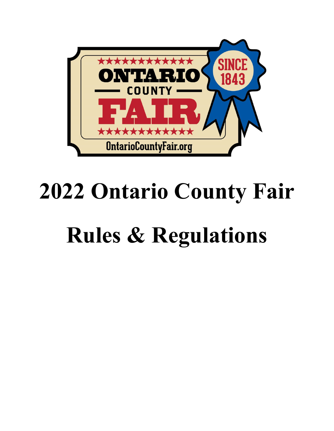

# **2022 Ontario County Fair**

# **Rules & Regulations**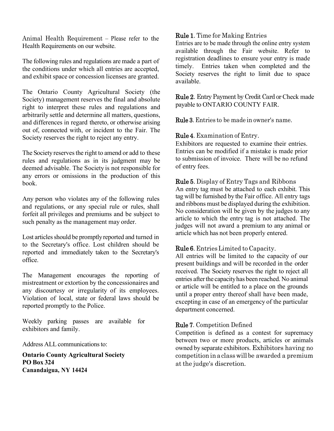Animal Health Requirement – Please refer to the Health Requirements on our website.

The following rules and regulations are made a part of the conditions under which all entries are accepted, and exhibit space or concession licenses are granted.

The Ontario County Agricultural Society (the Society) management reserves the final and absolute right to interpret these rules and regulations and arbitrarily settle and determine all matters, questions, and differences in regard thereto, or otherwise arising out of, connected with, or incident to the Fair. The Society reserves the right to reject any entry.

The Society reserves the right to amend or add to these rules and regulations as in its judgment may be deemed advisable. The Society is not responsible for any errors or omissions in the production of this book.

Any person who violates any of the following rules and regulations, or any special rule or rules, shall forfeit all privileges and premiums and be subject to such penalty as the management may order.

Lost articles should be promptly reported and turned in to the Secretary's office. Lost children should be reported and immediately taken to the Secretary's office.

The Management encourages the reporting of mistreatment or extortion by the concessionaires and any discourtesy or irregularity of its employees. Violation of local, state or federal laws should be reported promptly to the Police.

Weekly parking passes are available for exhibitors and family.

Address ALL communications to:

**Ontario County Agricultural Society PO Box 324 Canandaigua, NY 14424**

# Rule 1. Time for Making Entries

Entries are to be made through the online entry system available through the Fair website. Refer to registration deadlines to ensure your entry is made timely. Entries taken when completed and the Society reserves the right to limit due to space available.

Rule 2. Entry Payment by Credit Card or Check made payable to ONTARIO COUNTY FAIR.

Rule 3. Entries to be made in owner's name.

Rule 4. Examination of Entry.

Exhibitors are requested to examine their entries. Entries can be modified if a mistake is made prior to submission of invoice. There will be no refund of entry fees.

# Rule 5. Display of Entry Tags and Ribbons

An entry tag must be attached to each exhibit. This tag will be furnished by the Fair office. All entry tags and ribbons must be displayed during the exhibition. No consideration will be given by the judges to any article to which the entry tag is not attached. The judges will not award a premium to any animal or article which has not been properly entered.

# Rule 6. EntriesLimited to Capacity.

All entries will be limited to the capacity of our present buildings and will be recorded in the order received. The Society reserves the right to reject all entries after the capacity has been reached. No animal or article will be entitled to a place on the grounds until a proper entry thereof shall have been made, excepting in case of an emergency of the particular department concerned.

## Rule 7. Competition Defined

Competition is defined as a contest for supremacy between two or more products, articles or animals owned by separate exhibitors. Exhibitors having no competition in a class will be awarded a premium at the judge's discretion.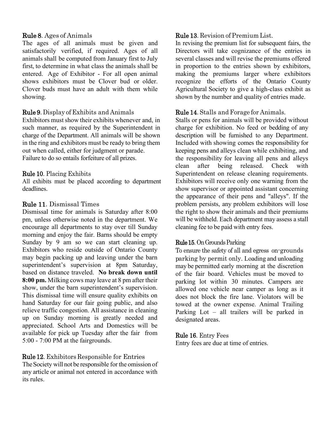# Rule 8. Ages of Animals

The ages of all animals must be given and satisfactorily verified, if required. Ages of all animals shall be computed from January first to July first, to determine in what class the animals shall be entered. Age of Exhibitor - For all open animal shows exhibitors must be Clover bud or older. Clover buds must have an adult with them while showing.

# Rule 9. Display of Exhibits and Animals

Exhibitors must show their exhibits whenever and, in such manner, as required by the Superintendent in charge of the Department. All animals will be shown in the ring and exhibitors must be ready to bring them out when called, either for judgment or parade. Failure to do so entails forfeiture of all prizes.

# Rule 10. Placing Exhibits

All exhibits must be placed according to department deadlines.

# Rule 11. Dismissal Times

Dismissal time for animals is Saturday after 8:00 pm, unless otherwise noted in the department. We encourage all departments to stay over till Sunday morning and enjoy the fair. Barns should be empty Sunday by 9 am so we can start cleaning up. Exhibitors who reside outside of Ontario County may begin packing up and leaving under the barn superintendent's supervision at 8pm Saturday, based on distance traveled. **No break down until 8:00 pm.** Milking cows may leave at 8 pm after their show, under the barn superintendent's supervision. This dismissal time will ensure quality exhibits on hand Saturday for our fair going public, and also relieve traffic congestion. All assistance in cleaning up on Sunday morning is greatly needed and appreciated. School Arts and Domestics will be available for pick up Tuesday after the fair from 5:00 - 7:00 PM at the fairgrounds.

Rule 12. Exhibitors Responsible for Entries The Society will not be responsible for the omission of any article or animal not entered in accordance with its rules.

# Rule 13. Revision of Premium List.

In revising the premium list for subsequent fairs, the Directors will take cognizance of the entries in several classes and will revise the premiums offered in proportion to the entries shown by exhibitors, making the premiums larger where exhibitors recognize the efforts of the Ontario County Agricultural Society to give a high-class exhibit as shown by the number and quality of entries made.

# Rule 14. Stalls and Forage for Animals.

Stalls or pens for animals will be provided without charge for exhibition. No feed or bedding of any description will be furnished to any Department. Included with showing comes the responsibility for keeping pens and alleys clean while exhibiting, and the responsibility for leaving all pens and alleys clean after being released. Check with Superintendent on release cleaning requirements. Exhibitors will receive only one warning from the show supervisor or appointed assistant concerning the appearance of their pens and "alleys". If the problem persists, any problem exhibitors will lose the right to show their animals and their premiums will be withheld. Each department may assess a stall cleaning fee to be paid with entry fees.

# Rule 15.On Grounds Parking

To ensure the safety of all and egress on-grounds parking by permit only. Loading and unloading may be permitted early morning at the discretion of the fair board. Vehicles must be moved to parking lot within 30 minutes. Campers are allowed one vehicle near camper as long as it does not block the fire lane. Violators will be towed at the owner expense. Animal Trailing Parking Lot – all trailers will be parked in designated areas.

# Rule 16. Entry Fees

Entry fees are due at time of entries.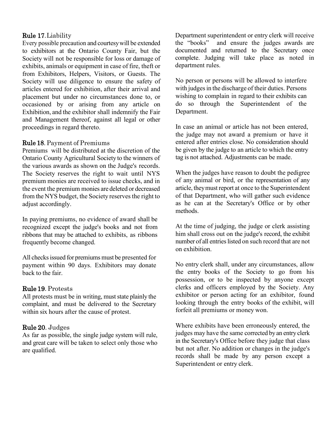## Rule 17.Liability

Every possible precaution and courtesywill be extended to exhibitors at the Ontario County Fair, but the Society will not be responsible for loss or damage of exhibits, animals or equipment in case of fire, theft or from Exhibitors, Helpers, Visitors, or Guests. The Society will use diligence to ensure the safety of articles entered for exhibition, after their arrival and placement but under no circumstances done to, or occasioned by or arising from any article on Exhibition, and the exhibitor shall indemnify the Fair and Management thereof, against all legal or other proceedings in regard thereto.

## Rule 18. Payment of Premiums

Premiums will be distributed at the discretion of the Ontario County Agricultural Society to the winners of the various awards as shown on the Judge's records. The Society reserves the right to wait until NYS premium monies are received to issue checks, and in the event the premium monies are deleted or decreased from the NYS budget, the Society reserves the right to adjust accordingly.

In paying premiums, no evidence of award shall be recognized except the judge's books and not from ribbons that may be attached to exhibits, as ribbons frequently become changed.

All checks issued for premiums must be presented for payment within 90 days. Exhibitors may donate back to the fair.

## Rule 19. Protests

All protests must be in writing, must state plainly the complaint, and must be delivered to the Secretary within six hours after the cause of protest.

## Rule 20. Judges

As far as possible, the single judge system will rule, and great care will be taken to select only those who are qualified.

Department superintendent or entry clerk will receive the "books" and ensure the judges awards are documented and returned to the Secretary once complete. Judging will take place as noted in department rules.

No person or persons will be allowed to interfere with judges in the discharge of their duties. Persons wishing to complain in regard to their exhibits can do so through the Superintendent of the Department.

In case an animal or article has not been entered, the judge may not award a premium or have it entered after entries close. No consideration should be given by the judge to an article to which the entry tag is not attached. Adjustments can be made.

When the judges have reason to doubt the pedigree of any animal or bird, or the representation of any article, they must report at once to the Superintendent of that Department, who will gather such evidence as he can at the Secretary's Office or by other methods.

At the time of judging, the judge or clerk assisting him shall cross out on the judge's record, the exhibit number of all entries listed on such record that are not on exhibition.

No entry clerk shall, under any circumstances, allow the entry books of the Society to go from his possession, or to be inspected by anyone except clerks and officers employed by the Society. Any exhibitor or person acting for an exhibitor, found looking through the entry books of the exhibit, will forfeit all premiums or money won.

Where exhibits have been erroneously entered, the judges may have the same corrected by an entry clerk in the Secretary's Office before they judge that class but not after. No addition or changes in the judge's records shall be made by any person except a Superintendent or entry clerk.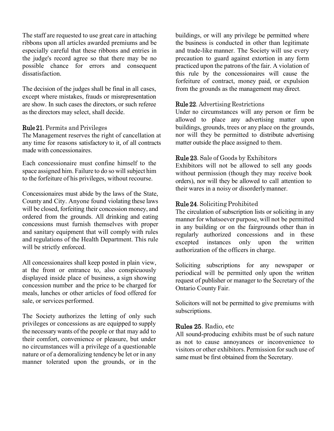The staff are requested to use great care in attaching ribbons upon all articles awarded premiums and be especially careful that these ribbons and entries in the judge's record agree so that there may be no possible chance for errors and consequent dissatisfaction.

The decision of the judges shall be final in all cases, except where mistakes, frauds or misrepresentation are show. In such cases the directors, or such referee as the directors may select, shall decide.

## Rule 21. Permits and Privileges

The Management reserves the right of cancellation at any time for reasons satisfactory to it, of all contracts made with concessionaires.

Each concessionaire must confine himself to the space assigned him. Failure to do so will subject him to the forfeiture of his privileges, without recourse.

Concessionaires must abide by the laws of the State, County and City. Anyone found violating these laws will be closed, forfeiting their concession money, and ordered from the grounds. All drinking and eating concessions must furnish themselves with proper and sanitary equipment that will comply with rules and regulations of the Health Department. This rule will be strictly enforced.

All concessionaires shall keep posted in plain view, at the front or entrance to, also conspicuously displayed inside place of business, a sign showing concession number and the price to be charged for meals, lunches or other articles of food offered for sale, or services performed.

The Society authorizes the letting of only such privileges or concessions as are equipped to supply the necessary wants of the people or that may add to their comfort, convenience or pleasure, but under no circumstances will a privilege of a questionable nature or of a demoralizing tendency be let or in any manner tolerated upon the grounds, or in the buildings, or will any privilege be permitted where the business is conducted in other than legitimate and trade-like manner. The Society will use every precaution to guard against extortion in any form practiced upon the patrons of the fair. A violation of this rule by the concessionaires will cause the forfeiture of contract, money paid, or expulsion from the grounds as the management may direct.

## Rule 22. Advertising Restrictions

Under no circumstances will any person or firm be allowed to place any advertising matter upon buildings, grounds, trees or any place on the grounds, nor will they be permitted to distribute advertising matter outside the place assigned to them.

## Rule 23. Sale of Goods by Exhibitors

Exhibitors will not be allowed to sell any goods without permission (though they may receive book orders), nor will they be allowed to call attention to their wares in a noisy or disorderlymanner.

## Rule 24. Soliciting Prohibited

The circulation of subscription lists or soliciting in any manner for whatsoever purpose, will not be permitted in any building or on the fairgrounds other than in regularly authorized concessions and in these excepted instances only upon the written authorization of the officers in charge.

Soliciting subscriptions for any newspaper or periodical will be permitted only upon the written request of publisher or manager to the Secretary of the Ontario County Fair.

Solicitors will not be permitted to give premiums with subscriptions.

## Rules 25. Radio, etc

All sound-producing exhibits must be of such nature as not to cause annoyances or inconvenience to visitors or other exhibitors. Permission for such use of same must be first obtained from the Secretary.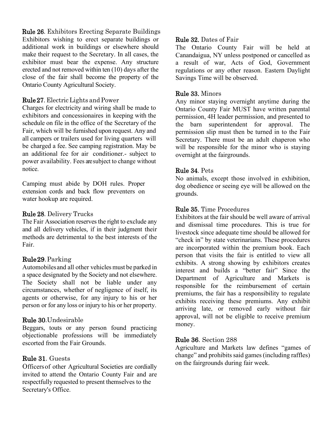Rule 26. Exhibitors Erecting Separate Buildings Exhibitors wishing to erect separate buildings or additional work in buildings or elsewhere should make their request to the Secretary. In all cases, the exhibitor must bear the expense. Any structure erected and not removed within ten (10) days after the close of the fair shall become the property of the Ontario County Agricultural Society.

# Rule 27. Electric Lights and Power

Charges for electricity and wiring shall be made to exhibitors and concessionaires in keeping with the schedule on file in the office of the Secretary of the Fair, which will be furnished upon request. Any and all campers or trailers used for living quarters will be charged a fee. See camping registration. May be an additional fee for air conditioner.- subject to power availability. Fees are subject to change without notice.

Camping must abide by DOH rules. Proper extension cords and back flow preventers on water hookup are required.

# Rule 28. Delivery Trucks

The Fair Association reserves the right to exclude any and all delivery vehicles, if in their judgment their methods are detrimental to the best interests of the Fair.

# Rule 29.Parking

Automobilesand all other vehicles must be parked in a space designated by the Society and not elsewhere. The Society shall not be liable under any circumstances, whether of negligence of itself, its agents or otherwise, for any injury to his or her person or for any loss or injury to his or her property.

# Rule 30.Undesirable

Beggars, touts or any person found practicing objectionable professions will be immediately escorted from the Fair Grounds.

# Rule 31. Guests

Officersof other Agricultural Societies are cordially invited to attend the Ontario County Fair and are respectfully requested to present themselves to the Secretary's Office.

# Rule 32. Dates of Fair

The Ontario County Fair will be held at Canandaigua, NY unless postponed or cancelled as a result of war, Acts of God, Government regulations or any other reason. Eastern Daylight Savings Time will be observed.

# Rule 33. Minors

Any minor staying overnight anytime during the Ontario County Fair MUST have written parental permission, 4H leader permission, and presented to the barn superintendent for approval. The permission slip must then be turned in to the Fair Secretary. There must be an adult chaperon who will be responsible for the minor who is staying overnight at the fairgrounds.

# Rule 34. Pets

No animals, except those involved in exhibition, dog obedience or seeing eye will be allowed on the grounds.

# Rule 35. Time Procedures

Exhibitors at the fair should be well aware of arrival and dismissal time procedures. This is true for livestock since adequate time should be allowed for "check in" by state veterinarians. These procedures are incorporated within the premium book. Each person that visits the fair is entitled to view all exhibits. A strong showing by exhibitors creates interest and builds a "better fair" Since the Department of Agriculture and Markets is responsible for the reimbursement of certain premiums, the fair has a responsibility to regulate exhibits receiving these premiums. Any exhibit arriving late, or removed early without fair approval, will not be eligible to receive premium money.

# Rule 36. Section 288

Agriculture and Markets law defines "games of change" and prohibits said games (including raffles) on the fairgrounds during fair week.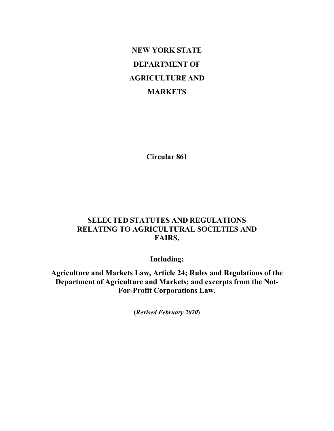# **NEW YORK STATE DEPARTMENT OF AGRICULTURE AND MARKETS**

**Circular 861**

# **SELECTED STATUTES AND REGULATIONS RELATING TO AGRICULTURAL SOCIETIES AND FAIRS,**

**Including:**

**Agriculture and Markets Law, Article 24; Rules and Regulations of the Department of Agriculture and Markets; and excerpts from the Not-For-Profit Corporations Law.**

**(***Revised February 2020***)**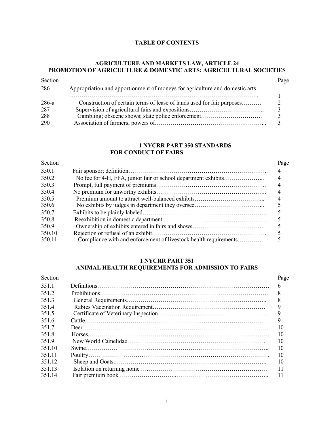#### **TABLE OF CONTENTS**

## **AGRICULTURE AND MARKETS LAW, ARTICLE 24 PROMOTION OF AGRICULTURE & DOMESTIC ARTS; AGRICULTURAL SOCIETIES**

| Section |                                                                             | Page |
|---------|-----------------------------------------------------------------------------|------|
| 286     | Appropriation and apportionment of moneys for agriculture and domestic arts |      |
|         | .                                                                           |      |
| 286-a   | Construction of certain terms of lease of lands used for fair purposes      |      |
| 287     |                                                                             |      |
| 288     | Gambling; obscene shows; state police enforcement                           |      |
| 290     |                                                                             |      |

#### **1 NYCRR PART 350 STANDARDS FOR CONDUCT OF FAIRS**

## Section Page 350.1 Fair sponsor; definition…………………………………………………………….. 4 350.2 No fee for 4-H, FFA, junior fair or school department exhibits………………... 4 350.3 Prompt, full payment of premiums……………………………………………….. 4 350.4 No premium for unworthy exhibits……………………………………………….. 4 350.5 Premium amount to attract well-balanced exhibits……………………………... 4 350.6 No exhibits by judges in department they oversee……………………………... 5 350.7 Exhibits to be plainly labeled……………………………………………………… 5 350.8 Reexhibition in domestic department…………………………………………….. 5 350.9 Ownership of exhibits entered in fairs and shows……………………………… 5 350.10 Rejection or refusal of an exhibit…………………………………………………. 5 Compliance with and enforcement of livestock health requirements………….

### **1 NYCRR PART 351 ANIMAL HEALTH REQUIREMENTS FOR ADMISSION TO FAIRS**

| Section | Page |
|---------|------|
| 351.1   |      |
| 351.2   | 8    |
| 351.3   | 8    |
| 351.4   |      |
| 351.5   |      |
| 351.6   | 9    |
| 351.7   | 10   |
| 351.8   | 10   |
| 351.9   | 10   |
| 351.10  | 10   |
| 351.11  | 10   |
| 351.12  | 10   |
| 351.13  |      |
| 351.14  | -11  |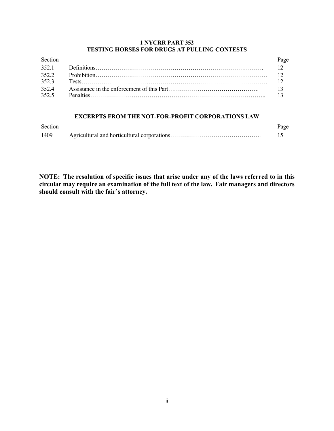## **1 NYCRR PART 352 TESTING HORSES FOR DRUGS AT PULLING CONTESTS**

| Section | Page |
|---------|------|
|         |      |
|         |      |
|         |      |
| 352.4   |      |
|         |      |

## **EXCERPTS FROM THE NOT-FOR-PROFIT CORPORATIONS LAW**

| Section | Page |
|---------|------|
| 1409    |      |

**NOTE: The resolution of specific issues that arise under any of the laws referred to in this circular may require an examination of the full text of the law. Fair managers and directors should consult with the fair's attorney.**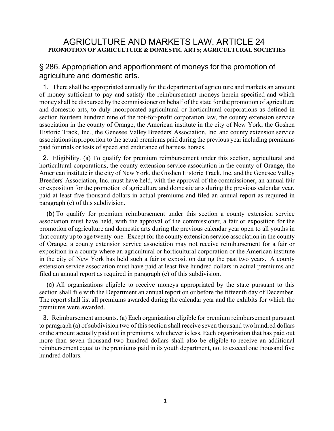# AGRICULTURE AND MARKETS LAW, ARTICLE 24 **PROMOTION OF AGRICULTURE & DOMESTIC ARTS; AGRICULTURAL SOCIETIES**

# § 286. Appropriation and apportionment of moneys for the promotion of agriculture and domestic arts.

1. There shall be appropriated annually for the department of agriculture and markets an amount of money sufficient to pay and satisfy the reimbursement moneys herein specified and which money shall be disbursed by the commissioner on behalf of the state for the promotion of agriculture and domestic arts, to duly incorporated agricultural or horticultural corporations as defined in section fourteen hundred nine of the not-for-profit corporation law, the county extension service association in the county of Orange, the American institute in the city of New York, the Goshen Historic Track, Inc., the Genesee Valley Breeders' Association, Inc. and county extension service associations in proportion to the actual premiums paid during the previous year including premiums paid for trials or tests of speed and endurance of harness horses.

2. Eligibility. (a) To qualify for premium reimbursement under this section, agricultural and horticultural corporations, the county extension service association in the county of Orange, the American institute in the city of New York, the Goshen Historic Track, Inc. and the Genesee Valley Breeders' Association, Inc. must have held, with the approval of the commissioner, an annual fair or exposition for the promotion of agriculture and domestic arts during the previous calendar year, paid at least five thousand dollars in actual premiums and filed an annual report as required in paragraph (c) of this subdivision.

(b) To qualify for premium reimbursement under this section a county extension service association must have held, with the approval of the commissioner, a fair or exposition for the promotion of agriculture and domestic arts during the previous calendar year open to all youths in that county up to age twenty-one. Except for the county extension service association in the county of Orange, a county extension service association may not receive reimbursement for a fair or exposition in a county where an agricultural or horticultural corporation or the American institute in the city of New York has held such a fair or exposition during the past two years. A county extension service association must have paid at least five hundred dollars in actual premiums and filed an annual report as required in paragraph (c) of this subdivision.

(c) All organizations eligible to receive moneys appropriated by the state pursuant to this section shall file with the Department an annual report on or before the fifteenth day of December. The report shall list all premiums awarded during the calendar year and the exhibits for which the premiums were awarded.

3. Reimbursement amounts. (a) Each organization eligible for premium reimbursement pursuant to paragraph (a) of subdivision two of this section shall receive seven thousand two hundred dollars or the amount actually paid out in premiums, whichever is less. Each organization that has paid out more than seven thousand two hundred dollars shall also be eligible to receive an additional reimbursement equal to the premiums paid in its youth department, not to exceed one thousand five hundred dollars.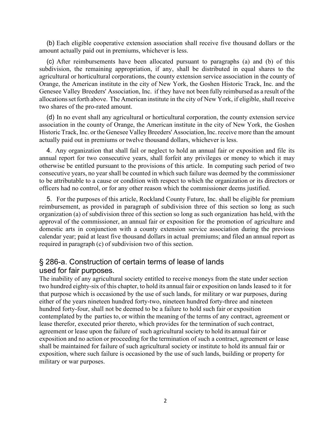(b) Each eligible cooperative extension association shall receive five thousand dollars or the amount actually paid out in premiums, whichever is less.

(c) After reimbursements have been allocated pursuant to paragraphs (a) and (b) of this subdivision, the remaining appropriation, if any, shall be distributed in equal shares to the agricultural or horticultural corporations, the county extension service association in the county of Orange, the American institute in the city of New York, the Goshen Historic Track, Inc. and the Genesee Valley Breeders' Association, Inc. if they have not been fully reimbursed as a result of the allocations set forth above. The American institute in the city of New York, if eligible, shall receive two shares of the pro-rated amount.

(d) In no event shall any agricultural or horticultural corporation, the county extension service association in the county of Orange, the American institute in the city of New York, the Goshen Historic Track, Inc. or the Genesee Valley Breeders' Association, Inc. receive more than the amount actually paid out in premiums or twelve thousand dollars, whichever is less.

4. Any organization that shall fail or neglect to hold an annual fair or exposition and file its annual report for two consecutive years, shall forfeit any privileges or money to which it may otherwise be entitled pursuant to the provisions of this article. In computing such period of two consecutive years, no year shall be counted in which such failure was deemed by the commissioner to be attributable to a cause or condition with respect to which the organization or its directors or officers had no control, or for any other reason which the commissioner deems justified.

5. For the purposes of this article, Rockland County Future, Inc. shall be eligible for premium reimbursement, as provided in paragraph of subdivision three of this section so long as such organization (a) of subdivision three of this section so long as such organization has held, with the approval of the commissioner, an annual fair or exposition for the promotion of agriculture and domestic arts in conjunction with a county extension service association during the previous calendar year; paid at least five thousand dollars in actual premiums; and filed an annual report as required in paragraph (c) of subdivision two of this section.

# § 286-a. Construction of certain terms of lease of lands used for fair purposes.

The inability of any agricultural society entitled to receive moneys from the state under section two hundred eighty-six of this chapter, to hold its annual fair or exposition on lands leased to it for that purpose which is occasioned by the use of such lands, for military or war purposes, during either of the years nineteen hundred forty-two, nineteen hundred forty-three and nineteen hundred forty-four, shall not be deemed to be a failure to hold such fair or exposition contemplated by the parties to, or within the meaning of the terms of any contract, agreement or lease therefor, executed prior thereto, which provides for the termination of such contract, agreement or lease upon the failure of such agricultural society to hold its annual fair or exposition and no action or proceeding for the termination of such a contract, agreement or lease shall be maintained for failure of such agricultural society or institute to hold its annual fair or exposition, where such failure is occasioned by the use of such lands, building or property for military or war purposes.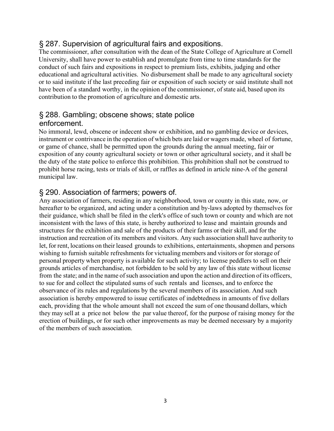# § 287. Supervision of agricultural fairs and expositions.

The commissioner, after consultation with the dean of the State College of Agriculture at Cornell University, shall have power to establish and promulgate from time to time standards for the conduct of such fairs and expositions in respect to premium lists, exhibits, judging and other educational and agricultural activities. No disbursement shall be made to any agricultural society or to said institute if the last preceding fair or exposition of such society or said institute shall not have been of a standard worthy, in the opinion of the commissioner, of state aid, based upon its contribution to the promotion of agriculture and domestic arts.

# § 288. Gambling; obscene shows; state police enforcement.

No immoral, lewd, obscene or indecent show or exhibition, and no gambling device or devices, instrument or contrivance in the operation of which bets are laid or wagers made, wheel of fortune, or game of chance, shall be permitted upon the grounds during the annual meeting, fair or exposition of any county agricultural society or town or other agricultural society, and it shall be the duty of the state police to enforce this prohibition. This prohibition shall not be construed to prohibit horse racing, tests or trials of skill, or raffles as defined in article nine-A of the general municipal law.

# § 290. Association of farmers; powers of.

Any association of farmers, residing in any neighborhood, town or county in this state, now, or hereafter to be organized, and acting under a constitution and by-laws adopted by themselves for their guidance, which shall be filed in the clerk's office of such town or county and which are not inconsistent with the laws of this state, is hereby authorized to lease and maintain grounds and structures for the exhibition and sale of the products of their farms or their skill, and for the instruction and recreation of its members and visitors. Any such association shall have authority to let, for rent, locations on their leased grounds to exhibitions, entertainments, shopmen and persons wishing to furnish suitable refreshments for victualing members and visitors or for storage of personal property when property is available for such activity; to license peddlers to sell on their grounds articles of merchandise, not forbidden to be sold by any law of this state without license from the state; and in the name of such association and upon the action and direction of its officers, to sue for and collect the stipulated sums of such rentals and licenses, and to enforce the observance of its rules and regulations by the several members of its association. And such association is hereby empowered to issue certificates of indebtedness in amounts of five dollars each, providing that the whole amount shall not exceed the sum of one thousand dollars, which they may sell at a price not below the par value thereof, for the purpose of raising money for the erection of buildings, or for such other improvements as may be deemed necessary by a majority of the members of such association.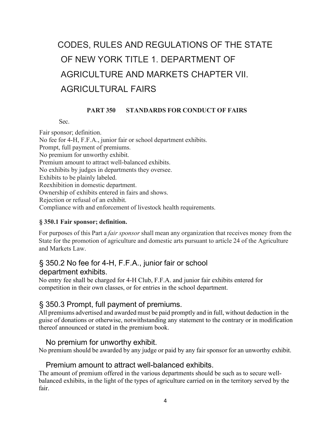# CODES, RULES AND REGULATIONS OF THE STATE OF NEW YORK TITLE 1. DEPARTMENT OF AGRICULTURE AND MARKETS CHAPTER VII. AGRICULTURAL FAIRS

# **PART 350 STANDARDS FOR CONDUCT OF FAIRS**

Sec.

Fair sponsor; definition. No fee for 4-H, F.F.A., junior fair or school department exhibits. Prompt, full payment of premiums. No premium for unworthy exhibit. Premium amount to attract well-balanced exhibits. No exhibits by judges in departments they oversee. Exhibits to be plainly labeled. Reexhibition in domestic department. Ownership of exhibits entered in fairs and shows. Rejection or refusal of an exhibit. Compliance with and enforcement of livestock health requirements.

## **§ 350.1 Fair sponsor; definition.**

For purposes of this Part a *fair sponsor* shall mean any organization that receives money from the State for the promotion of agriculture and domestic arts pursuant to article 24 of the Agriculture and Markets Law.

# § 350.2 No fee for 4-H, F.F.A., junior fair or school department exhibits.

No entry fee shall be charged for 4-H Club, F.F.A. and junior fair exhibits entered for competition in their own classes, or for entries in the school department.

# § 350.3 Prompt, full payment of premiums.

All premiums advertised and awarded must be paid promptly and in full, without deduction in the guise of donations or otherwise, notwithstanding any statement to the contrary or in modification thereof announced or stated in the premium book.

# No premium for unworthy exhibit.

No premium should be awarded by any judge or paid by any fair sponsor for an unworthy exhibit.

# Premium amount to attract well-balanced exhibits.

The amount of premium offered in the various departments should be such as to secure wellbalanced exhibits, in the light of the types of agriculture carried on in the territory served by the fair.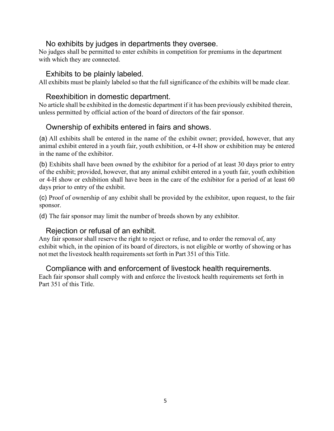# No exhibits by judges in departments they oversee.

No judges shall be permitted to enter exhibits in competition for premiums in the department with which they are connected.

# Exhibits to be plainly labeled.

All exhibits must be plainly labeled so that the full significance of the exhibits will be made clear.

# Reexhibition in domestic department.

No article shall be exhibited in the domestic department if it has been previously exhibited therein, unless permitted by official action of the board of directors of the fair sponsor.

# Ownership of exhibits entered in fairs and shows.

(a) All exhibits shall be entered in the name of the exhibit owner; provided, however, that any animal exhibit entered in a youth fair, youth exhibition, or 4-H show or exhibition may be entered in the name of the exhibitor.

(b) Exhibits shall have been owned by the exhibitor for a period of at least 30 days prior to entry of the exhibit; provided, however, that any animal exhibit entered in a youth fair, youth exhibition or 4-H show or exhibition shall have been in the care of the exhibitor for a period of at least 60 days prior to entry of the exhibit.

(c) Proof of ownership of any exhibit shall be provided by the exhibitor, upon request, to the fair sponsor.

(d) The fair sponsor may limit the number of breeds shown by any exhibitor.

# Rejection or refusal of an exhibit.

Any fair sponsor shall reserve the right to reject or refuse, and to order the removal of, any exhibit which, in the opinion of its board of directors, is not eligible or worthy of showing or has not met the livestock health requirements set forth in Part 351 of this Title.

## Compliance with and enforcement of livestock health requirements.

Each fair sponsor shall comply with and enforce the livestock health requirements set forth in Part 351 of this Title.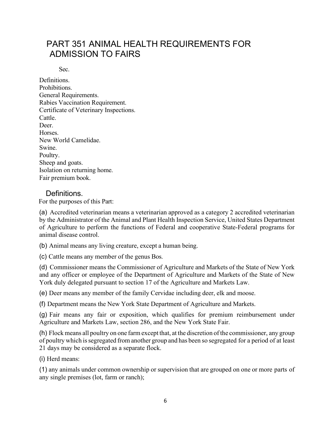# PART 351 ANIMAL HEALTH REQUIREMENTS FOR ADMISSION TO FAIRS

Sec.

Definitions. Prohibitions. General Requirements. Rabies Vaccination Requirement. Certificate of Veterinary Inspections. Cattle. Deer. Horses. New World Camelidae. Swine. Poultry. Sheep and goats. Isolation on returning home. Fair premium book.

# Definitions.

For the purposes of this Part:

(a) Accredited veterinarian means a veterinarian approved as a category 2 accredited veterinarian by the Administrator of the Animal and Plant Health Inspection Service, United States Department of Agriculture to perform the functions of Federal and cooperative State-Federal programs for animal disease control.

(b) Animal means any living creature, except a human being.

(c) Cattle means any member of the genus Bos.

(d) Commissioner means the Commissioner of Agriculture and Markets of the State of New York and any officer or employee of the Department of Agriculture and Markets of the State of New York duly delegated pursuant to section 17 of the Agriculture and Markets Law.

(e) Deer means any member of the family Cervidae including deer, elk and moose.

(f) Department means the New York State Department of Agriculture and Markets.

(g) Fair means any fair or exposition, which qualifies for premium reimbursement under Agriculture and Markets Law, section 286, and the New York State Fair.

(h) Flock means all poultry on one farm except that, at the discretion of the commissioner, any group of poultry which issegregated from another group and has been so segregated for a period of at least 21 days may be considered as a separate flock.

(i) Herd means:

(1) any animals under common ownership or supervision that are grouped on one or more parts of any single premises (lot, farm or ranch);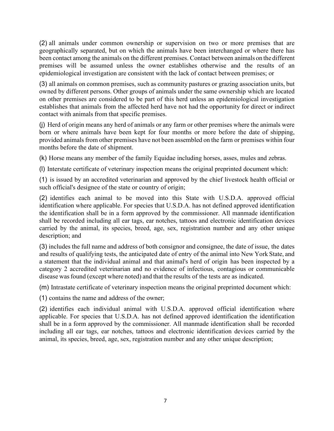(2) all animals under common ownership or supervision on two or more premises that are geographically separated, but on which the animals have been interchanged or where there has been contact among the animals on the different premises. Contact between animals on the different premises will be assumed unless the owner establishes otherwise and the results of an epidemiological investigation are consistent with the lack of contact between premises; or

(3) all animals on common premises, such as community pastures or grazing association units, but owned by different persons. Other groups of animals under the same ownership which are located on other premises are considered to be part of this herd unless an epidemiological investigation establishes that animals from the affected herd have not had the opportunity for direct or indirect contact with animals from that specific premises.

(j) Herd of origin means any herd of animals or any farm or other premises where the animals were born or where animals have been kept for four months or more before the date of shipping, provided animals from other premises have not been assembled on the farm or premises within four months before the date of shipment.

(k) Horse means any member of the family Equidae including horses, asses, mules and zebras.

(l) Interstate certificate of veterinary inspection means the original preprinted document which:

(1) is issued by an accredited veterinarian and approved by the chief livestock health official or such official's designee of the state or country of origin;

(2) identifies each animal to be moved into this State with U.S.D.A. approved official identification where applicable. For species that U.S.D.A. has not defined approved identification the identification shall be in a form approved by the commissioner. All manmade identification shall be recorded including all ear tags, ear notches, tattoos and electronic identification devices carried by the animal, its species, breed, age, sex, registration number and any other unique description; and

(3) includes the full name and address of both consignor and consignee, the date of issue, the dates and results of qualifying tests, the anticipated date of entry of the animal into New York State, and a statement that the individual animal and that animal's herd of origin has been inspected by a category 2 accredited veterinarian and no evidence of infectious, contagious or communicable disease wasfound (except where noted) and that the results of the tests are as indicated.

(m) Intrastate certificate of veterinary inspection means the original preprinted document which:

(1) contains the name and address of the owner;

(2) identifies each individual animal with U.S.D.A. approved official identification where applicable. For species that U.S.D.A. has not defined approved identification the identification shall be in a form approved by the commissioner. All manmade identification shall be recorded including all ear tags, ear notches, tattoos and electronic identification devices carried by the animal, its species, breed, age, sex, registration number and any other unique description;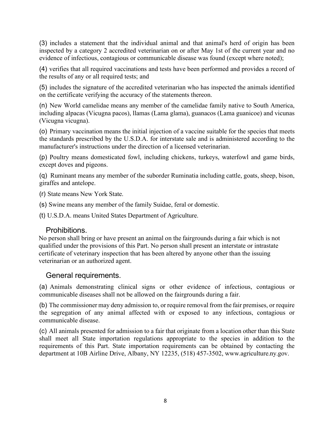(3) includes a statement that the individual animal and that animal's herd of origin has been inspected by a category 2 accredited veterinarian on or after May 1st of the current year and no evidence of infectious, contagious or communicable disease was found (except where noted);

(4) verifies that all required vaccinations and tests have been performed and provides a record of the results of any or all required tests; and

(5) includes the signature of the accredited veterinarian who has inspected the animals identified on the certificate verifying the accuracy of the statements thereon.

(n) New World camelidae means any member of the camelidae family native to South America, including alpacas (Vicugna pacos), llamas (Lama glama), guanacos (Lama guanicoe) and vicunas (Vicugna vicugna).

(o) Primary vaccination means the initial injection of a vaccine suitable for the species that meets the standards prescribed by the U.S.D.A. for interstate sale and is administered according to the manufacturer's instructions under the direction of a licensed veterinarian.

(p) Poultry means domesticated fowl, including chickens, turkeys, waterfowl and game birds, except doves and pigeons.

(q) Ruminant means any member of the suborder Ruminatia including cattle, goats, sheep, bison, giraffes and antelope.

(r) State means New York State.

(s) Swine means any member of the family Suidae, feral or domestic.

(t) U.S.D.A. means United States Department of Agriculture.

# Prohibitions.

No person shall bring or have present an animal on the fairgrounds during a fair which is not qualified under the provisions of this Part. No person shall present an interstate or intrastate certificate of veterinary inspection that has been altered by anyone other than the issuing veterinarian or an authorized agent.

# General requirements.

(a) Animals demonstrating clinical signs or other evidence of infectious, contagious or communicable diseases shall not be allowed on the fairgrounds during a fair.

(b) The commissioner may deny admission to, or require removal from the fair premises, or require the segregation of any animal affected with or exposed to any infectious, contagious or communicable disease.

(c) All animals presented for admission to a fair that originate from a location other than this State shall meet all State importation regulations appropriate to the species in addition to the requirements of this Part. State importation requirements can be obtained by contacting the department at 10B Airline Drive, Albany, NY 12235, (518) 457-3502, [www.agriculture.ny.gov.](http://www.agriculture.ny.gov/)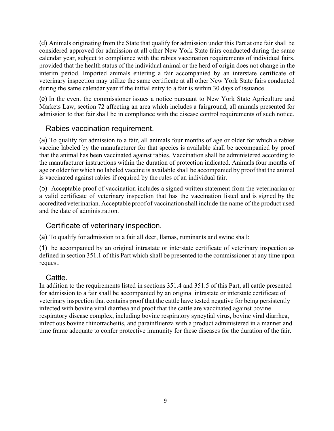(d) Animals originating from the State that qualify for admission under this Part at one fair shall be considered approved for admission at all other New York State fairs conducted during the same calendar year, subject to compliance with the rabies vaccination requirements of individual fairs, provided that the health status of the individual animal or the herd of origin does not change in the interim period. Imported animals entering a fair accompanied by an interstate certificate of veterinary inspection may utilize the same certificate at all other New York State fairs conducted during the same calendar year if the initial entry to a fair is within 30 days of issuance.

(e) In the event the commissioner issues a notice pursuant to New York State Agriculture and Markets Law, section 72 affecting an area which includes a fairground, all animals presented for admission to that fair shall be in compliance with the disease control requirements of such notice.

# Rabies vaccination requirement.

(a) To qualify for admission to a fair, all animals four months of age or older for which a rabies vaccine labeled by the manufacturer for that species is available shall be accompanied by proof that the animal has been vaccinated against rabies. Vaccination shall be administered according to the manufacturer instructions within the duration of protection indicated. Animals four months of age or older for which no labeled vaccine is available shall be accompanied by proof that the animal is vaccinated against rabies if required by the rules of an individual fair.

(b) Acceptable proof of vaccination includes a signed written statement from the veterinarian or a valid certificate of veterinary inspection that has the vaccination listed and is signed by the accredited veterinarian. Acceptable proof of vaccination shall include the name of the product used and the date of administration.

# Certificate of veterinary inspection.

(a) To qualify for admission to a fair all deer, llamas, ruminants and swine shall:

(1) be accompanied by an original intrastate or interstate certificate of veterinary inspection as defined in section 351.1 of this Part which shall be presented to the commissioner at any time upon request.

# Cattle.

In addition to the requirements listed in sections 351.4 and 351.5 of this Part, all cattle presented for admission to a fair shall be accompanied by an original intrastate or interstate certificate of veterinary inspection that contains proof that the cattle have tested negative for being persistently infected with bovine viral diarrhea and proof that the cattle are vaccinated against bovine respiratory disease complex, including bovine respiratory syncytial virus, bovine viral diarrhea, infectious bovine rhinotracheitis, and parainfluenza with a product administered in a manner and time frame adequate to confer protective immunity for these diseases for the duration of the fair.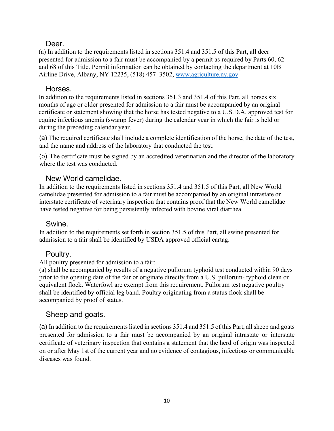# Deer.

(a) In addition to the requirements listed in sections 351.4 and 351.5 of this Part, all deer presented for admission to a fair must be accompanied by a permit as required by Parts 60, 62 and 68 of this Title. Permit information can be obtained by contacting the department at 10B Airline Drive, Albany, NY 12235, (518) 457–3502, [www.agriculture.ny.gov](http://www.agriculture.ny.gov/)

# Horses.

In addition to the requirements listed in sections 351.3 and 351.4 of this Part, all horses six months of age or older presented for admission to a fair must be accompanied by an original certificate or statement showing that the horse has tested negative to a U.S.D.A. approved test for equine infectious anemia (swamp fever) during the calendar year in which the fair is held or during the preceding calendar year.

(a) The required certificate shall include a complete identification of the horse, the date of the test, and the name and address of the laboratory that conducted the test.

(b) The certificate must be signed by an accredited veterinarian and the director of the laboratory where the test was conducted.

# New World camelidae.

In addition to the requirements listed in sections 351.4 and 351.5 of this Part, all New World camelidae presented for admission to a fair must be accompanied by an original intrastate or interstate certificate of veterinary inspection that contains proof that the New World camelidae have tested negative for being persistently infected with bovine viral diarrhea.

# Swine.

In addition to the requirements set forth in section 351.5 of this Part, all swine presented for admission to a fair shall be identified by USDA approved official eartag.

# Poultry.

All poultry presented for admission to a fair:

(a) shall be accompanied by results of a negative pullorum typhoid test conducted within 90 days prior to the opening date of the fair or originate directly from a U.S. pullorum- typhoid clean or equivalent flock. Waterfowl are exempt from this requirement. Pullorum test negative poultry shall be identified by official leg band. Poultry originating from a status flock shall be accompanied by proof of status.

# Sheep and goats.

(a) In addition to the requirements listed in sections 351.4 and 351.5 of this Part, all sheep and goats presented for admission to a fair must be accompanied by an original intrastate or interstate certificate of veterinary inspection that contains a statement that the herd of origin was inspected on or after May 1st of the current year and no evidence of contagious, infectious or communicable diseases was found.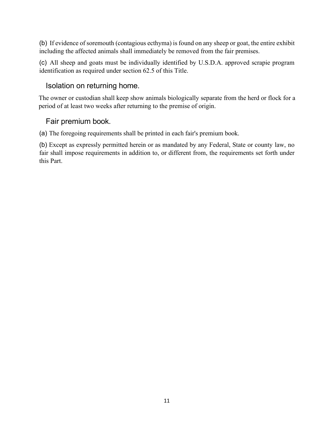(b) If evidence of soremouth (contagious ecthyma) is found on any sheep or goat, the entire exhibit including the affected animals shall immediately be removed from the fair premises.

(c) All sheep and goats must be individually identified by U.S.D.A. approved scrapie program identification as required under section 62.5 of this Title.

# Isolation on returning home.

The owner or custodian shall keep show animals biologically separate from the herd or flock for a period of at least two weeks after returning to the premise of origin.

# Fair premium book.

(a) The foregoing requirements shall be printed in each fair's premium book.

(b) Except as expressly permitted herein or as mandated by any Federal, State or county law, no fair shall impose requirements in addition to, or different from, the requirements set forth under this Part.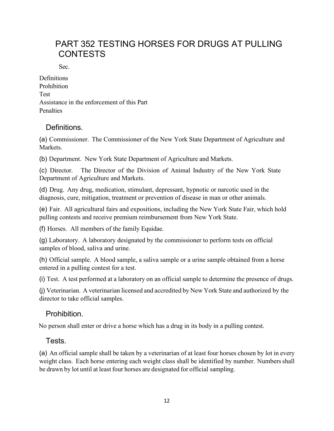# PART 352 TESTING HORSES FOR DRUGS AT PULLING CONTESTS

Sec.

**Definitions** Prohibition Test Assistance in the enforcement of this Part **Penalties** 

# Definitions.

(a) Commissioner. The Commissioner of the New York State Department of Agriculture and Markets.

(b) Department. New York State Department of Agriculture and Markets.

(c) Director. The Director of the Division of Animal Industry of the New York State Department of Agriculture and Markets.

(d) Drug. Any drug, medication, stimulant, depressant, hypnotic or narcotic used in the diagnosis, cure, mitigation, treatment or prevention of disease in man or other animals.

(e) Fair. All agricultural fairs and expositions, including the New York State Fair, which hold pulling contests and receive premium reimbursement from New York State.

(f) Horses. All members of the family Equidae.

(g) Laboratory. A laboratory designated by the commissioner to perform tests on official samples of blood, saliva and urine.

(h) Official sample. A blood sample, a saliva sample or a urine sample obtained from a horse entered in a pulling contest for a test.

(i) Test. A test performed at a laboratory on an official sample to determine the presence of drugs.

(j) Veterinarian. A veterinarian licensed and accredited by New York State and authorized by the director to take official samples.

# Prohibition.

No person shall enter or drive a horse which has a drug in its body in a pulling contest.

# Tests.

(a) An official sample shall be taken by a veterinarian of at least four horses chosen by lot in every weight class. Each horse entering each weight class shall be identified by number. Numbers shall be drawn by lot until at least four horses are designated for official sampling.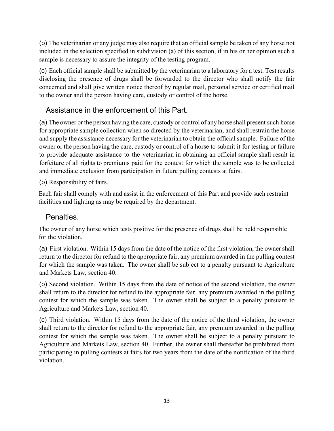(b) The veterinarian or any judge may also require that an official sample be taken of any horse not included in the selection specified in subdivision (a) of this section, if in his or her opinion such a sample is necessary to assure the integrity of the testing program.

(c) Each official sample shall be submitted by the veterinarian to a laboratory for a test. Test results disclosing the presence of drugs shall be forwarded to the director who shall notify the fair concerned and shall give written notice thereof by regular mail, personal service or certified mail to the owner and the person having care, custody or control of the horse.

# Assistance in the enforcement of this Part.

(a) The owner or the person having the care, custody or control of any horse shall present such horse for appropriate sample collection when so directed by the veterinarian, and shall restrain the horse and supply the assistance necessary for the veterinarian to obtain the official sample. Failure of the owner or the person having the care, custody or control of a horse to submit it for testing or failure to provide adequate assistance to the veterinarian in obtaining an official sample shall result in forfeiture of all rights to premiums paid for the contest for which the sample was to be collected and immediate exclusion from participation in future pulling contests at fairs.

(b) Responsibility of fairs.

Each fair shall comply with and assist in the enforcement of this Part and provide such restraint facilities and lighting as may be required by the department.

# Penalties.

The owner of any horse which tests positive for the presence of drugs shall be held responsible for the violation.

(a) First violation. Within 15 days from the date of the notice of the first violation, the owner shall return to the director for refund to the appropriate fair, any premium awarded in the pulling contest for which the sample was taken. The owner shall be subject to a penalty pursuant to Agriculture and Markets Law, section 40.

(b) Second violation. Within 15 days from the date of notice of the second violation, the owner shall return to the director for refund to the appropriate fair, any premium awarded in the pulling contest for which the sample was taken. The owner shall be subject to a penalty pursuant to Agriculture and Markets Law, section 40.

(c) Third violation. Within 15 days from the date of the notice of the third violation, the owner shall return to the director for refund to the appropriate fair, any premium awarded in the pulling contest for which the sample was taken. The owner shall be subject to a penalty pursuant to Agriculture and Markets Law, section 40. Further, the owner shall thereafter be prohibited from participating in pulling contests at fairs for two years from the date of the notification of the third violation.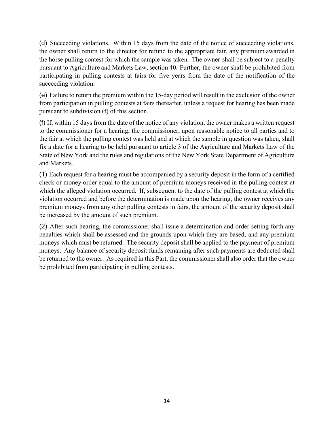(d) Succeeding violations. Within 15 days from the date of the notice of succeeding violations, the owner shall return to the director for refund to the appropriate fair, any premium awarded in the horse pulling contest for which the sample was taken. The owner shall be subject to a penalty pursuant to Agriculture and Markets Law, section 40. Further, the owner shall be prohibited from participating in pulling contests at fairs for five years from the date of the notification of the succeeding violation.

(e) Failure to return the premium within the 15-day period will result in the exclusion of the owner from participation in pulling contests at fairs thereafter, unless a request for hearing has been made pursuant to subdivision (f) of this section.

(f) If, within 15 days from the date of the notice of any violation, the owner makes a written request to the commissioner for a hearing, the commissioner, upon reasonable notice to all parties and to the fair at which the pulling contest was held and at which the sample in question was taken, shall fix a date for a hearing to be held pursuant to article 3 of the Agriculture and Markets Law of the State of New York and the rules and regulations of the New York State Department of Agriculture and Markets.

(1) Each request for a hearing must be accompanied by a security deposit in the form of a certified check or money order equal to the amount of premium moneys received in the pulling contest at which the alleged violation occurred. If, subsequent to the date of the pulling contest at which the violation occurred and before the determination is made upon the hearing, the owner receives any premium moneys from any other pulling contests in fairs, the amount of the security deposit shall be increased by the amount of such premium.

(2) After such hearing, the commissioner shall issue a determination and order setting forth any penalties which shall be assessed and the grounds upon which they are based, and any premium moneys which must be returned. The security deposit shall be applied to the payment of premium moneys. Any balance of security deposit funds remaining after such payments are deducted shall be returned to the owner. As required in this Part, the commissioner shall also order that the owner be prohibited from participating in pulling contests.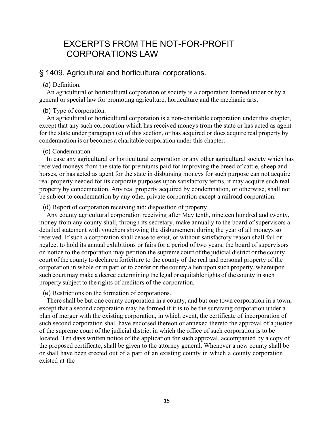# EXCERPTS FROM THE NOT-FOR-PROFIT CORPORATIONS LAW

# § 1409. Agricultural and horticultural corporations.

## (a) Definition.

An agricultural or horticultural corporation or society is a corporation formed under or by a general or special law for promoting agriculture, horticulture and the mechanic arts.

## (b) Type of corporation.

An agricultural or horticultural corporation is a non-charitable corporation under this chapter, except that any such corporation which has received moneys from the state or has acted as agent for the state under paragraph (c) of this section, or has acquired or does acquire real property by condemnation is or becomes a charitable corporation under this chapter.

## (c) Condemnation.

In case any agricultural or horticultural corporation or any other agricultural society which has received moneys from the state for premiums paid for improving the breed of cattle, sheep and horses, or has acted as agent for the state in disbursing moneys for such purpose can not acquire real property needed for its corporate purposes upon satisfactory terms, it may acquire such real property by condemnation. Any real property acquired by condemnation, or otherwise, shall not be subject to condemnation by any other private corporation except a railroad corporation.

## (d) Report of corporation receiving aid; disposition of property.

Any county agricultural corporation receiving after May tenth, nineteen hundred and twenty, money from any county shall, through its secretary, make annually to the board of supervisors a detailed statement with vouchers showing the disbursement during the year of all moneys so received. If such a corporation shall cease to exist, or without satisfactory reason shall fail or neglect to hold its annual exhibitions or fairs for a period of two years, the board of supervisors on notice to the corporation may petition the supreme court of the judicial district or the county court of the county to declare a forfeiture to the county of the real and personal property of the corporation in whole or in part or to confer on the county a lien upon such property, whereupon such court may make a decree determining the legal or equitable rights of the county in such property subject to the rights of creditors of the corporation.

(e) Restrictions on the formation of corporations.

There shall be but one county corporation in a county, and but one town corporation in a town, except that a second corporation may be formed if it is to be the surviving corporation under a plan of merger with the existing corporation, in which event, the certificate of incorporation of such second corporation shall have endorsed thereon or annexed thereto the approval of a justice of the supreme court of the judicial district in which the office of such corporation is to be located. Ten days written notice of the application for such approval, accompanied by a copy of the proposed certificate, shall be given to the attorney general. Whenever a new county shall be or shall have been erected out of a part of an existing county in which a county corporation existed at the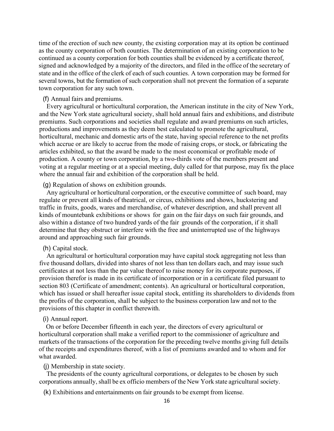time of the erection of such new county, the existing corporation may at its option be continued as the county corporation of both counties. The determination of an existing corporation to be continued as a county corporation for both counties shall be evidenced by a certificate thereof, signed and acknowledged by a majority of the directors, and filed in the office of the secretary of state and in the office of the clerk of each of such counties. A town corporation may be formed for several towns, but the formation of such corporation shall not prevent the formation of a separate town corporation for any such town.

## (f) Annual fairs and premiums.

Every agricultural or horticultural corporation, the American institute in the city of New York, and the New York state agricultural society, shall hold annual fairs and exhibitions, and distribute premiums. Such corporations and societies shall regulate and award premiums on such articles, productions and improvements as they deem best calculated to promote the agricultural, horticultural, mechanic and domestic arts of the state, having special reference to the net profits which accrue or are likely to accrue from the mode of raising crops, or stock, or fabricating the articles exhibited, so that the award be made to the most economical or profitable mode of production. A county or town corporation, by a two-thirds vote of the members present and voting at a regular meeting or at a special meeting, duly called for that purpose, may fix the place where the annual fair and exhibition of the corporation shall be held.

#### (g) Regulation of shows on exhibition grounds.

Any agricultural or horticultural corporation, or the executive committee of such board, may regulate or prevent all kinds of theatrical, or circus, exhibitions and shows, huckstering and traffic in fruits, goods, wares and merchandise, of whatever description, and shall prevent all kinds of mountebank exhibitions or shows for gain on the fair days on such fair grounds, and also within a distance of two hundred yards of the fair grounds of the corporation, if it shall determine that they obstruct or interfere with the free and uninterrupted use of the highways around and approaching such fair grounds.

### (h) Capital stock.

An agricultural or horticultural corporation may have capital stock aggregating not less than five thousand dollars, divided into shares of not less than ten dollars each, and may issue such certificates at not less than the par value thereof to raise money for its corporate purposes, if provision therefor is made in its certificate of incorporation or in a certificate filed pursuant to section 803 (Certificate of amendment; contents). An agricultural or horticultural corporation, which has issued or shall hereafter issue capital stock, entitling its shareholders to dividends from the profits of the corporation, shall be subject to the business corporation law and not to the provisions of this chapter in conflict therewith.

#### (i) Annual report.

On or before December fifteenth in each year, the directors of every agricultural or horticultural corporation shall make a verified report to the commissioner of agriculture and markets of the transactions of the corporation for the preceding twelve months giving full details of the receipts and expenditures thereof, with a list of premiums awarded and to whom and for what awarded.

## (j) Membership in state society.

The presidents of the county agricultural corporations, or delegates to be chosen by such corporations annually, shall be ex officio members of the New York state agricultural society.

(k) Exhibitions and entertainments on fair grounds to be exempt from license.